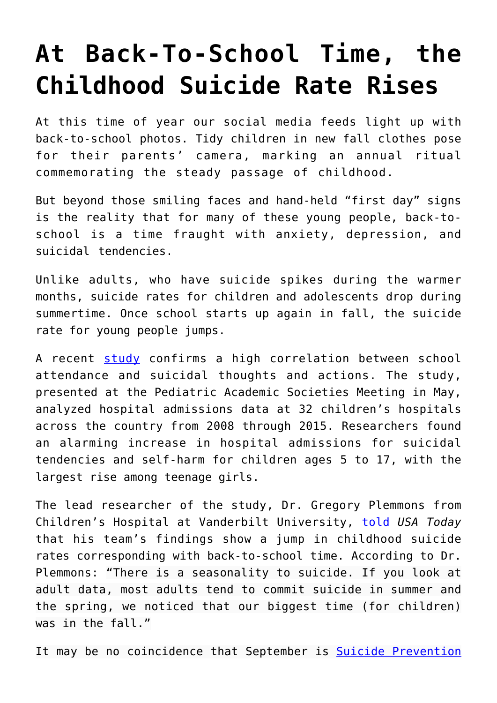## **[At Back-To-School Time, the](https://intellectualtakeout.org/2017/08/at-back-to-school-time-the-childhood-suicide-rate-rises/) [Childhood Suicide Rate Rises](https://intellectualtakeout.org/2017/08/at-back-to-school-time-the-childhood-suicide-rate-rises/)**

At this time of year our social media feeds light up with back-to-school photos. Tidy children in new fall clothes pose for their parents' camera, marking an annual ritual commemorating the steady passage of childhood.

But beyond those smiling faces and hand-held "first day" signs is the reality that for many of these young people, back-toschool is a time fraught with anxiety, depression, and suicidal tendencies.

Unlike adults, who have suicide spikes during the warmer months, suicide rates for children and adolescents drop during summertime. Once school starts up again in fall, the suicide rate for young people jumps.

A recent [study](http://www.cnn.com/2017/05/05/health/children-teens-suicide-study/index.html) confirms a high correlation between school attendance and suicidal thoughts and actions. The study, presented at the Pediatric Academic Societies Meeting in May, analyzed hospital admissions data at 32 children's hospitals across the country from 2008 through 2015. Researchers found an alarming increase in hospital admissions for suicidal tendencies and self-harm for children ages 5 to 17, with the largest rise among teenage girls.

The lead researcher of the study, Dr. Gregory Plemmons from Children's Hospital at Vanderbilt University, [told](https://www.usatoday.com/story/news/nation-now/2017/05/30/youth-suicide-rates-rising-school-and-internet-may-blame/356539001/) *USA Today* that his team's findings show a jump in childhood suicide rates corresponding with back-to-school time. According to Dr. Plemmons: "There is a seasonality to suicide. If you look at adult data, most adults tend to commit suicide in summer and the spring, we noticed that our biggest time (for children) was in the fall."

It may be no coincidence that September is **[Suicide Prevention](https://www.psychologytoday.com/blog/when-your-adult-child-breaks-your-heart/201509/september-is-suicide-prevention-month)**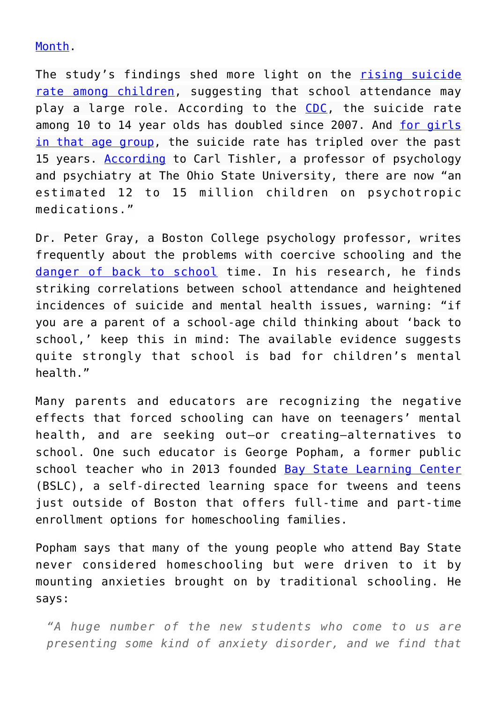## [Month](https://www.psychologytoday.com/blog/when-your-adult-child-breaks-your-heart/201509/september-is-suicide-prevention-month).

The study's findings shed more light on the [rising suicide](http://www.cnn.com/2016/11/03/health/kids-suicide-deaths-increase/) [rate among children](http://www.cnn.com/2016/11/03/health/kids-suicide-deaths-increase/), suggesting that school attendance may play a large role. According to the [CDC](https://www.cdc.gov/mmwr/volumes/65/wr/mm6543a8.htm?s_cid=mm6543a8_w), the suicide rate among 10 to 14 year olds has doubled since 2007. And [for girls](http://www.npr.org/sections/health-shots/2016/04/22/474888854/suicide-rates-climb-in-u-s-especially-among-adolescent-girls) [in that age group,](http://www.npr.org/sections/health-shots/2016/04/22/474888854/suicide-rates-climb-in-u-s-especially-among-adolescent-girls) the suicide rate has tripled over the past 15 years. [According](http://www.cnn.com/2017/05/05/health/children-teens-suicide-study/index.html) to Carl Tishler, a professor of psychology and psychiatry at The Ohio State University, there are now "an estimated 12 to 15 million children on psychotropic medications."

Dr. Peter Gray, a Boston College psychology professor, writes frequently about the problems with coercive schooling and the [danger of back to school](https://www.psychologytoday.com/blog/freedom-learn/201408/the-danger-back-school) time. In his research, he finds striking correlations between school attendance and heightened incidences of suicide and mental health issues, warning: "if you are a parent of a school-age child thinking about 'back to school,' keep this in mind: The available evidence suggests quite strongly that school is bad for children's mental health."

Many parents and educators are recognizing the negative effects that forced schooling can have on teenagers' mental health, and are seeking out—or creating—alternatives to school. One such educator is George Popham, a former public school teacher who in 2013 founded [Bay State Learning Center](http://www.baystatelearning.org/) (BSLC), a self-directed learning space for tweens and teens just outside of Boston that offers full-time and part-time enrollment options for homeschooling families.

Popham says that many of the young people who attend Bay State never considered homeschooling but were driven to it by mounting anxieties brought on by traditional schooling. He says:

*"A huge number of the new students who come to us are presenting some kind of anxiety disorder, and we find that*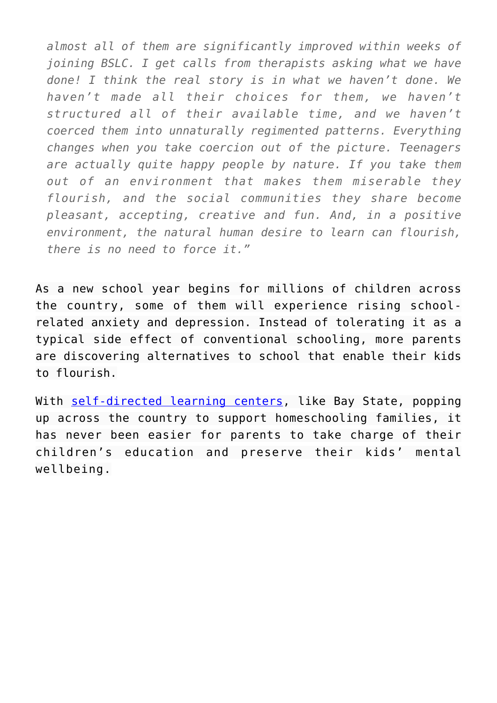*almost all of them are significantly improved within weeks of joining BSLC. I get calls from therapists asking what we have done! I think the real story is in what we haven't done. We haven't made all their choices for them, we haven't structured all of their available time, and we haven't coerced them into unnaturally regimented patterns. Everything changes when you take coercion out of the picture. Teenagers are actually quite happy people by nature. If you take them out of an environment that makes them miserable they flourish, and the social communities they share become pleasant, accepting, creative and fun. And, in a positive environment, the natural human desire to learn can flourish, there is no need to force it."*

As a new school year begins for millions of children across the country, some of them will experience rising schoolrelated anxiety and depression. Instead of tolerating it as a typical side effect of conventional schooling, more parents are discovering alternatives to school that enable their kids to flourish.

With [self-directed learning centers](https://www.self-directed.org/), like Bay State, popping up across the country to support homeschooling families, it has never been easier for parents to take charge of their children's education and preserve their kids' mental wellbeing.